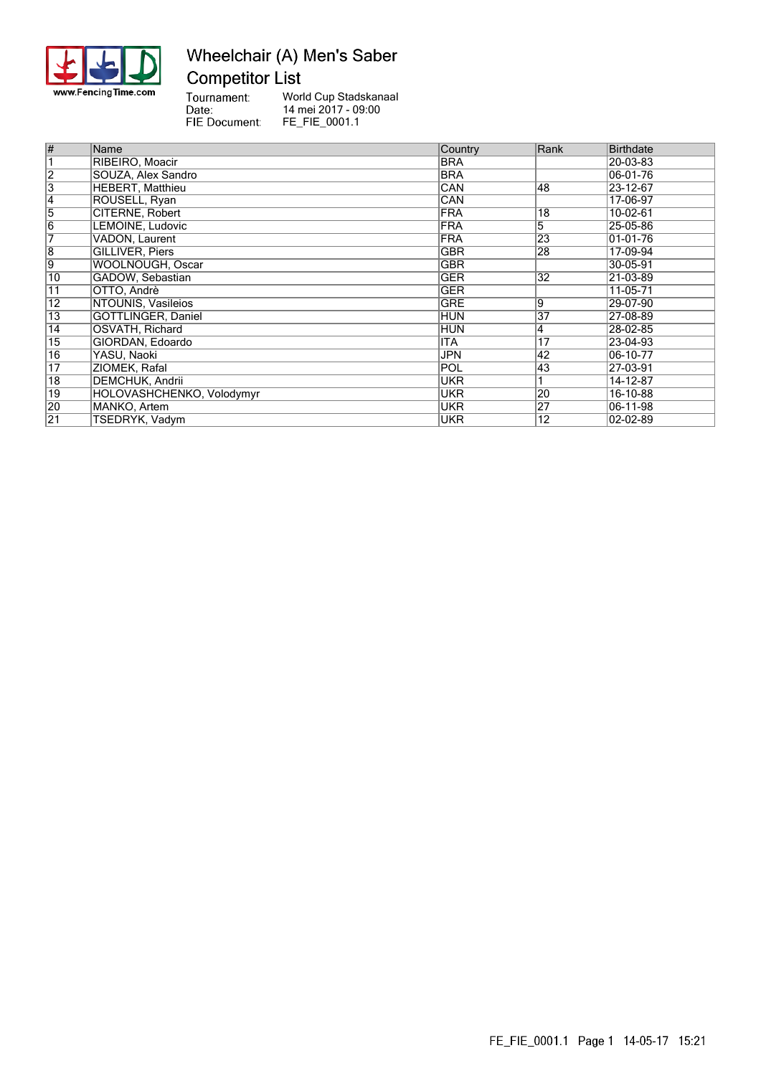

### Wheelchair (A) Men's Saber **Competitor List**

Tournament:<br>
Date:<br>
FIE Document:

World Cup Stadskanaal 14 mei 2017 - 09:00 FE\_FIE\_0001.1

| $\overline{\#}$ | Name                      | Country    | Rank | <b>Birthdate</b> |
|-----------------|---------------------------|------------|------|------------------|
|                 | RIBEIRO, Moacir           | <b>BRA</b> |      | 20-03-83         |
| $\overline{2}$  | SOUZA, Alex Sandro        | <b>BRA</b> |      | 06-01-76         |
| $\overline{3}$  | <b>HEBERT.</b> Matthieu   | CAN        | 48   | 23-12-67         |
| 4               | ROUSELL, Ryan             | CAN        |      | 17-06-97         |
| $\overline{5}$  | CITERNE, Robert           | <b>FRA</b> | 18   | 10-02-61         |
| $\overline{6}$  | LEMOINE. Ludovic          | <b>FRA</b> | 5    | 25-05-86         |
| 7               | VADON, Laurent            | <b>FRA</b> | 23   | 01-01-76         |
| $\overline{8}$  | GILLIVER, Piers           | <b>GBR</b> | 28   | 17-09-94         |
| 9               | WOOLNOUGH, Oscar          | <b>GBR</b> |      | 30-05-91         |
| 10              | GADOW, Sebastian          | <b>GER</b> | 32   | 21-03-89         |
| $\overline{11}$ | OTTO, Andrè               | <b>GER</b> |      | 11-05-71         |
| 12              | NTOUNIS, Vasileios        | GRE        | 19   | 29-07-90         |
| 13              | GÖTTLINGER, Daniel        | <b>HUN</b> | 37   | 27-08-89         |
| $\overline{14}$ | OSVATH, Richard           | <b>HUN</b> | 4    | 28-02-85         |
| $\overline{15}$ | GIORDAN, Edoardo          | ITA        | 17   | 23-04-93         |
| $\overline{16}$ | YASU, Naoki               | <b>JPN</b> | 42   | 06-10-77         |
| $\overline{17}$ | ZIOMEK, Rafal             | POL        | 43   | 27-03-91         |
| $\overline{18}$ | DEMCHUK, Andrii           | <b>UKR</b> |      | 14-12-87         |
| $\overline{19}$ | HOLOVASHCHENKO, Volodymyr | UKR        | 20   | 16-10-88         |
| 20              | MANKO, Artem              | <b>UKR</b> | 27   | 06-11-98         |
| $\overline{21}$ | TSEDRYK, Vadym            | <b>UKR</b> | 12   | $02 - 02 - 89$   |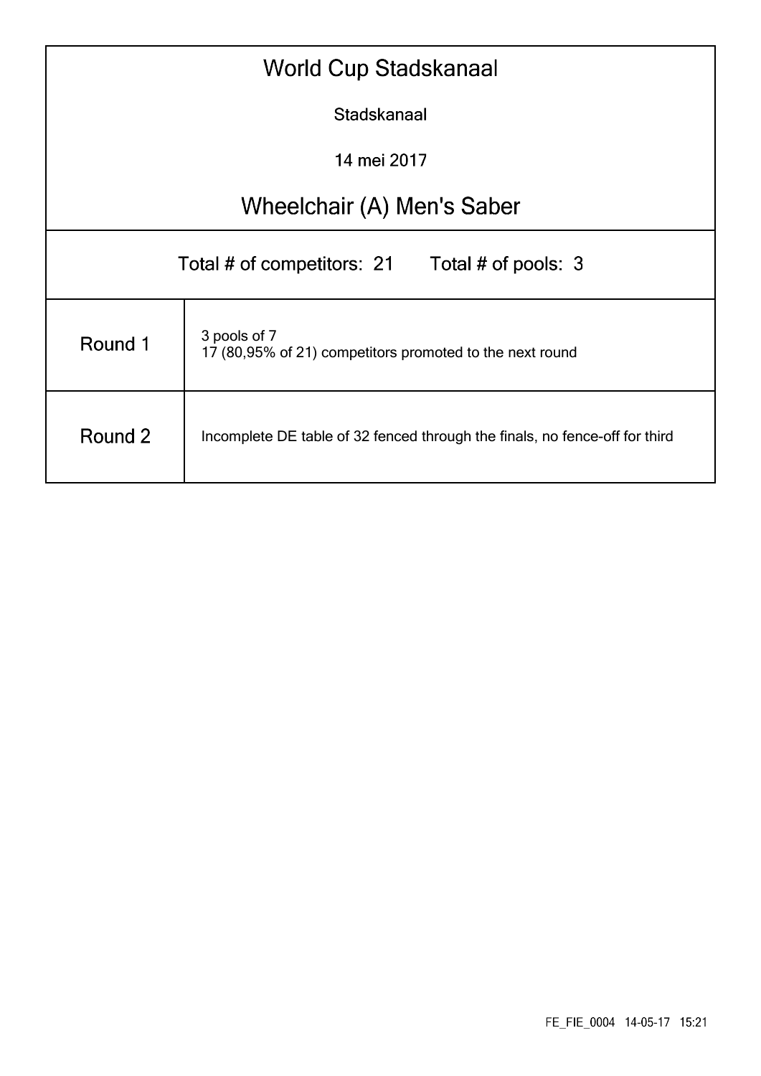| <b>World Cup Stadskanaal</b>                                                           |                            |  |  |  |  |  |  |  |  |  |  |
|----------------------------------------------------------------------------------------|----------------------------|--|--|--|--|--|--|--|--|--|--|
| Stadskanaal                                                                            |                            |  |  |  |  |  |  |  |  |  |  |
| 14 mei 2017                                                                            |                            |  |  |  |  |  |  |  |  |  |  |
|                                                                                        | Wheelchair (A) Men's Saber |  |  |  |  |  |  |  |  |  |  |
| Total # of pools: 3<br>Total # of competitors: 21                                      |                            |  |  |  |  |  |  |  |  |  |  |
| 3 pools of 7<br>Round 1<br>17 (80,95% of 21) competitors promoted to the next round    |                            |  |  |  |  |  |  |  |  |  |  |
| Round 2<br>Incomplete DE table of 32 fenced through the finals, no fence-off for third |                            |  |  |  |  |  |  |  |  |  |  |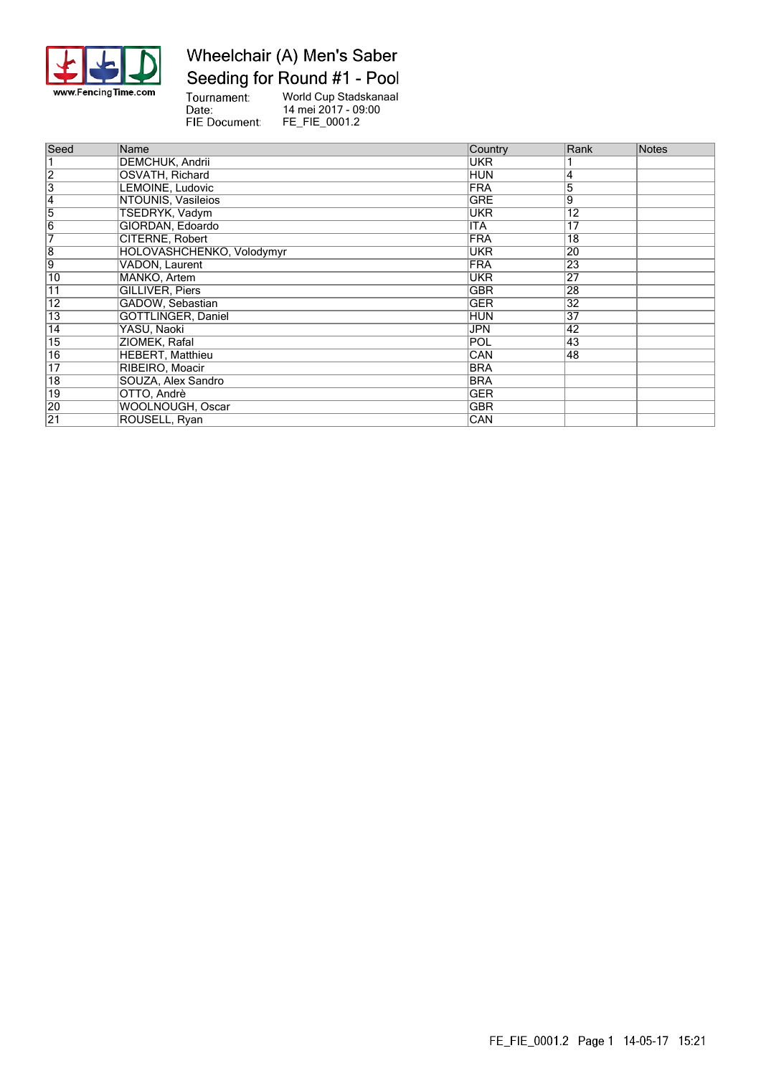

## Wheelchair (A) Men's Saber Seeding for Round #1 - Pool

Tournament:<br>Date: World Cup Stadskanaal 14 mei 2017 - 09:00 FIE Document: FE\_FIE\_0001.2

| Seed            | Name                      | Country    | Rank            | <b>Notes</b> |
|-----------------|---------------------------|------------|-----------------|--------------|
|                 | DEMCHUK, Andrii           | <b>UKR</b> |                 |              |
| $\overline{2}$  | OSVATH, Richard           | <b>HUN</b> | 4               |              |
| $\overline{3}$  | LEMOINE, Ludovic          | <b>FRA</b> | 5               |              |
| 4               | NTOUNIS, Vasileios        | <b>GRE</b> | 9               |              |
| $\overline{5}$  | TSEDRYK, Vadym            | UKR        | 12              |              |
| $\overline{6}$  | GIORDAN, Edoardo          | <b>ITA</b> | 17              |              |
| 7               | CITERNE, Robert           | <b>FRA</b> | $\overline{18}$ |              |
| $\overline{8}$  | HOLOVASHCHENKO, Volodymyr | UKR        | 20              |              |
| 9               | VADON, Laurent            | <b>FRA</b> | $\overline{23}$ |              |
| 10              | MANKO, Artem              | <b>UKR</b> | 27              |              |
| 11              | <b>GILLIVER, Piers</b>    | <b>GBR</b> | 28              |              |
| 12              | GADOW, Sebastian          | <b>GER</b> | 32              |              |
| 13              | GÖTTLINGER, Daniel        | <b>HUN</b> | 37              |              |
| 14              | YASU, Naoki               | <b>JPN</b> | 42              |              |
| 15              | ZIOMEK, Rafal             | POL        | 43              |              |
| $\overline{16}$ | <b>HEBERT, Matthieu</b>   | <b>CAN</b> | 48              |              |
| $\overline{17}$ | RIBEIRO, Moacir           | <b>BRA</b> |                 |              |
| $\overline{18}$ | SOUZA, Alex Sandro        | <b>BRA</b> |                 |              |
| 19              | OTTO, Andrè               | GER        |                 |              |
| 20              | <b>WOOLNOUGH, Oscar</b>   | <b>GBR</b> |                 |              |
| $\overline{21}$ | ROUSELL, Ryan             | CAN        |                 |              |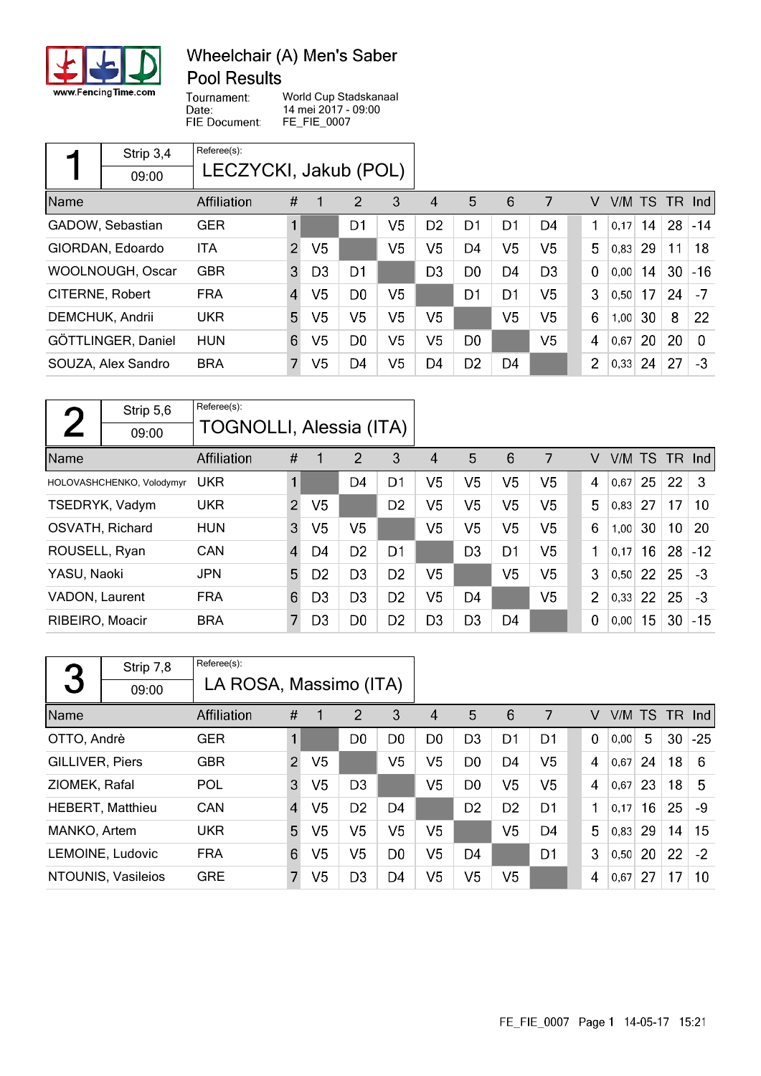

### Wheelchair (A) Men's Saber **Pool Results**

Tournament: World Cup Stadskanaal 14 mei 2017 - 09:00 FIE Document: FE\_FIE\_0007

Date:

|                 | Strip 3,4          | Referee(s): |                       |                |                |                |                |                |                |                |                         |        |    |     |          |
|-----------------|--------------------|-------------|-----------------------|----------------|----------------|----------------|----------------|----------------|----------------|----------------|-------------------------|--------|----|-----|----------|
|                 | 09:00              |             | LECZYCKI, Jakub (POL) |                |                |                |                |                |                |                |                         |        |    |     |          |
| Name            |                    | Affiliation | #                     |                | 2              | 3              | 4              | 5              | 6              | 7              | V                       | V/M TS |    | TR. | Ind      |
|                 | GADOW, Sebastian   | <b>GER</b>  |                       |                | D1             | V5             | D <sub>2</sub> | D1             | D1             | D4             | 1                       | 0,17   | 14 | 28  | $-14$    |
|                 | GIORDAN, Edoardo   | ITA         | $\overline{2}$        | V <sub>5</sub> |                | V <sub>5</sub> | V5             | D <sub>4</sub> | V <sub>5</sub> | V <sub>5</sub> | 5                       | 0,83   | 29 | 11  | 18       |
|                 | WOOLNOUGH, Oscar   | <b>GBR</b>  | 3                     | D <sub>3</sub> | D <sub>1</sub> |                | D <sub>3</sub> | D <sub>0</sub> | D4             | D <sub>3</sub> | $\Omega$                | 0,00   | 14 | 30  | $-16$    |
| CITERNE, Robert |                    | <b>FRA</b>  | $\overline{4}$        | V <sub>5</sub> | D <sub>0</sub> | V5             |                | D <sub>1</sub> | D <sub>1</sub> | V5             | 3                       | 0,50   | 17 | 24  | $-7$     |
|                 | DEMCHUK, Andrii    | <b>UKR</b>  | 5                     | V <sub>5</sub> | V <sub>5</sub> | V <sub>5</sub> | V5             |                | V5             | V <sub>5</sub> | 6                       | 1,00   | 30 | 8   | 22       |
|                 | GÖTTLINGER, Daniel | <b>HUN</b>  | 6                     | V5             | D <sub>0</sub> | V5             | V5             | D <sub>0</sub> |                | V <sub>5</sub> | $\overline{\mathbf{4}}$ | 0,67   | 20 | 20  | $\Omega$ |
|                 | SOUZA, Alex Sandro | <b>BRA</b>  | 7                     | V5             | D <sub>4</sub> | V <sub>5</sub> | D4             | D <sub>2</sub> | D4             |                | $\overline{2}$          | 0,33   | 24 | 27  | -3       |

|                       | Strip 5,6                 | Referee(s):             |                |                |                |                |                |                |                |                |             |        |    |                 |       |
|-----------------------|---------------------------|-------------------------|----------------|----------------|----------------|----------------|----------------|----------------|----------------|----------------|-------------|--------|----|-----------------|-------|
|                       | 09:00                     | TOGNOLLI, Alessia (ITA) |                |                |                |                |                |                |                |                |             |        |    |                 |       |
| Name                  |                           | <b>Affiliation</b>      | #              | 1              | 2              | 3              | 4              | 5              | 6              | 7              | V           | V/M TS |    | TR Ind          |       |
|                       | HOLOVASHCHENKO, Volodymyr | <b>UKR</b>              | 1              |                | D4             | D1             | V5             | V <sub>5</sub> | V <sub>5</sub> | V <sub>5</sub> | 4           | 0,67   | 25 | 22              | З     |
|                       | TSEDRYK, Vadym            | <b>UKR</b>              | $\overline{2}$ | V <sub>5</sub> |                | D <sub>2</sub> | V5             | V <sub>5</sub> | V <sub>5</sub> | V <sub>5</sub> | 5           | 0,83   | 27 | 17              | 10    |
|                       | OSVATH, Richard           | <b>HUN</b>              | 3              | V5             | V5             |                | V5             | V <sub>5</sub> | V <sub>5</sub> | V <sub>5</sub> | 6           | 1,00   | 30 | 10 <sup>°</sup> | 20    |
| ROUSELL, Ryan         |                           | CAN                     | $\overline{4}$ | D4             | D <sub>2</sub> | D1             |                | D <sub>3</sub> | D <sub>1</sub> | V <sub>5</sub> | 1           | 0,17   | 16 | 28              | $-12$ |
| YASU, Naoki           |                           | <b>JPN</b>              | 5              | D <sub>2</sub> | D <sub>3</sub> | D <sub>2</sub> | V5             |                | V <sub>5</sub> | V <sub>5</sub> | 3           | 0,50   | 22 | 25              | $-3$  |
| <b>VADON, Laurent</b> |                           | <b>FRA</b>              | 6              | D3             | D <sub>3</sub> | D <sub>2</sub> | V5             | D4             |                | V <sub>5</sub> | 2           | 0,33   | 22 | 25              | -3    |
| RIBEIRO, Moacir       |                           | <b>BRA</b>              | 7              | D <sub>3</sub> | D <sub>0</sub> | D <sub>2</sub> | D <sub>3</sub> | D <sub>3</sub> | D4             |                | $\mathbf 0$ | 0,00   | 15 | 30              | $-15$ |

| 3                  | Strip 7,8               | Referee(s): |                        |                |                |                |                |                |                |                |          |        |    |        |       |
|--------------------|-------------------------|-------------|------------------------|----------------|----------------|----------------|----------------|----------------|----------------|----------------|----------|--------|----|--------|-------|
|                    | 09:00                   |             | LA ROSA, Massimo (ITA) |                |                |                |                |                |                |                |          |        |    |        |       |
| Name               |                         | Affiliation | #                      |                | 2              | 3              | 4              | 5              | 6              |                | V        | V/M TS |    | TR Ind |       |
| OTTO, Andrè        |                         | <b>GER</b>  |                        |                | D <sub>0</sub> | D <sub>0</sub> | D <sub>0</sub> | D <sub>3</sub> | D <sub>1</sub> | D <sub>1</sub> | $\Omega$ | 0,00   | 5  | 30     | $-25$ |
| GILLIVER, Piers    |                         | <b>GBR</b>  | $\mathcal{P}$          | V5             |                | V5             | V5             | D <sub>0</sub> | D <sub>4</sub> | V <sub>5</sub> | 4        | 0.67   | 24 | 18     | 6     |
| ZIOMEK, Rafal      |                         | POL         | 3                      | V <sub>5</sub> | D <sub>3</sub> |                | V5             | D <sub>0</sub> | V <sub>5</sub> | V <sub>5</sub> | 4        | 0,67   | 23 | 18     | 5     |
|                    | <b>HEBERT, Matthieu</b> | CAN         | $\overline{4}$         | V <sub>5</sub> | D <sub>2</sub> | D4             |                | D <sub>2</sub> | D <sub>2</sub> | D1             | 1        | 0,17   | 16 | 25     | -9    |
| MANKO, Artem       |                         | <b>UKR</b>  | 5                      | V5             | V5             | V5             | V5             |                | V5             | D <sub>4</sub> | 5        | 0.83   | 29 | 14     | 15    |
|                    | LEMOINE, Ludovic        | <b>FRA</b>  | 6                      | V5             | V5             | D <sub>0</sub> | V5             | D4             |                | D1             | 3        | 0.50   | 20 | 22     | $-2$  |
| NTOUNIS, Vasileios |                         | <b>GRE</b>  | 7                      | V5             | D <sub>3</sub> | D4             | V5             | V5             | V5             |                | 4        | 0,67   | 27 | 17     | 10    |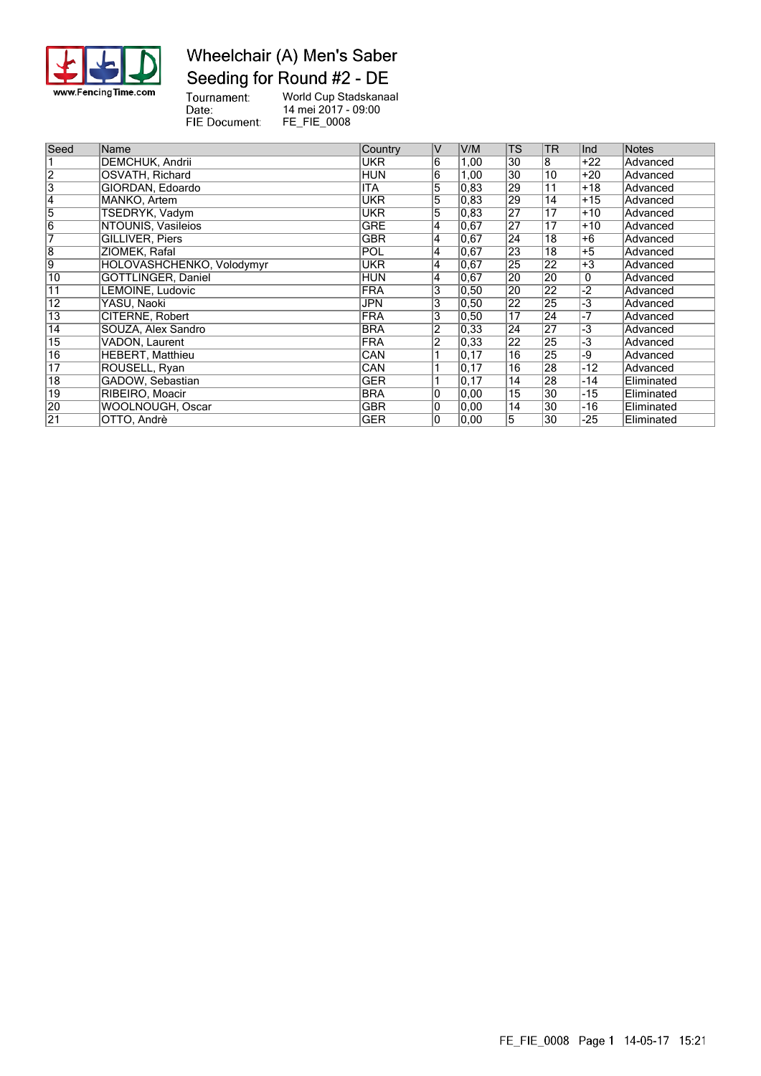

### Wheelchair (A) Men's Saber Seeding for Round #2 - DE

Tournament:<br>Date:<br>FIE Document:

World Cup Stadskanaal 14 mei 2017 - 09:00 FE\_FIE\_0008

| Seed            | Name                      | Country    | IV                      | V/M               | <b>TS</b>       | <b>TR</b>       | llnd  | Notes      |
|-----------------|---------------------------|------------|-------------------------|-------------------|-----------------|-----------------|-------|------------|
|                 | DEMCHUK, Andrii           | <b>UKR</b> | 6                       | 1,00              | 30              | 8               | $+22$ | Advanced   |
| $\overline{2}$  | OSVATH, Richard           | <b>HUN</b> | $6\overline{6}$         | 1,00              | 30              | 10              | $+20$ | Advanced   |
| $\overline{3}$  | GIORDAN, Edoardo          | <b>ITA</b> | 5                       | 0,83              | 29              | 11              | $+18$ | Advanced   |
| 4               | MANKO, Artem              | <b>UKR</b> | 5                       | 0,83              | 29              | 14              | $+15$ | Advanced   |
| 5               | TSEDRYK, Vadym            | <b>UKR</b> | 5                       | 0,83              | 27              | 17              | $+10$ | Advanced   |
| $\overline{6}$  | NTOUNIS, Vasileios        | <b>GRE</b> | $\overline{\mathbf{4}}$ | 0,67              | 27              | 17              | $+10$ | Advanced   |
| 7               | <b>GILLIVER, Piers</b>    | <b>GBR</b> | 4                       | 0.67              | 24              | 18              | +6    | Advanced   |
| $\overline{8}$  | ZIOMEK, Rafal             | <b>POL</b> | 4                       | 0,67              | 23              | 18              | $+5$  | Advanced   |
| 9               | HOLOVASHCHENKO, Volodymyr | UKR        | 4                       | 0,67              | 25              | 22              | $+3$  | Advanced   |
| $\overline{10}$ | GÖTTLINGER, Daniel        | <b>HUN</b> | $\overline{4}$          | 0,67              | 20              | 20              | 0     | Advanced   |
| $\overline{11}$ | LEMOINE, Ludovic          | <b>FRA</b> | 3                       | 0, 50             | 20              | 22              | $-2$  | Advanced   |
| $\overline{12}$ | YASU, Naoki               | <b>JPN</b> | 3                       | 0,50              | 22              | 25              | $-3$  | Advanced   |
| 13              | CITERNE, Robert           | <b>FRA</b> | 3                       | 0,50              | 17              | 24              | $-7$  | Advanced   |
| 14              | SOUZA, Alex Sandro        | <b>BRA</b> | $\overline{2}$          | 0,33              | 24              | 27              | $-3$  | Advanced   |
| 15              | <b>VADON, Laurent</b>     | <b>FRA</b> | $\overline{2}$          | 0,33              | 22              | 25              | -3    | Advanced   |
| 16              | <b>HEBERT, Matthieu</b>   | CAN        |                         | $\overline{0,17}$ | $\overline{16}$ | 25              | -9    | Advanced   |
| $\overline{17}$ | ROUSELL, Ryan             | CAN        |                         | 0,17              | 16              | 28              | $-12$ | Advanced   |
| $\overline{18}$ | GADOW, Sebastian          | <b>GER</b> |                         | 0, 17             | $\overline{14}$ | 28              | $-14$ | Eliminated |
| 19              | RIBEIRO, Moacir           | <b>BRA</b> | 0                       | 0,00              | $\overline{15}$ | $\overline{30}$ | -15   | Eliminated |
| 20              | WOOLNOUGH, Oscar          | <b>GBR</b> | $\overline{0}$          | 0,00              | 14              | 30              | $-16$ | Eliminated |
| $\overline{21}$ | OTTO, Andrè               | <b>GER</b> | $\overline{0}$          | 0,00              | $\overline{5}$  | 30              | $-25$ | Eliminated |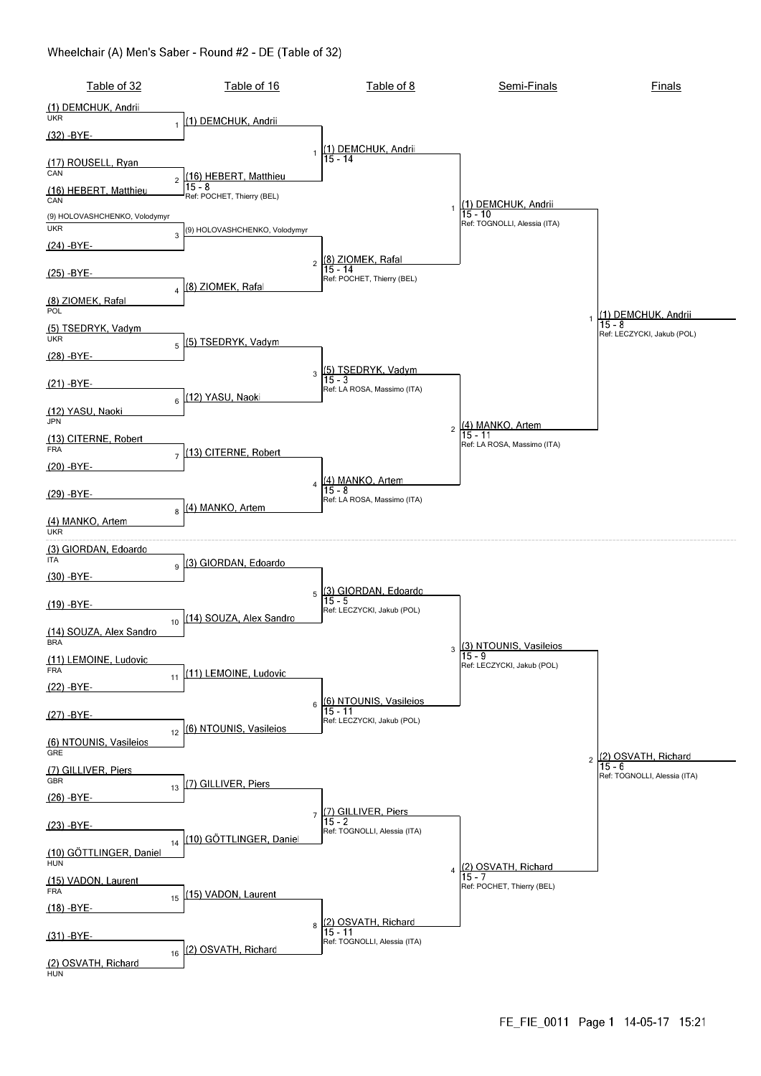#### Wheelchair (A) Men's Saber - Round #2 - DE (Table of 32)

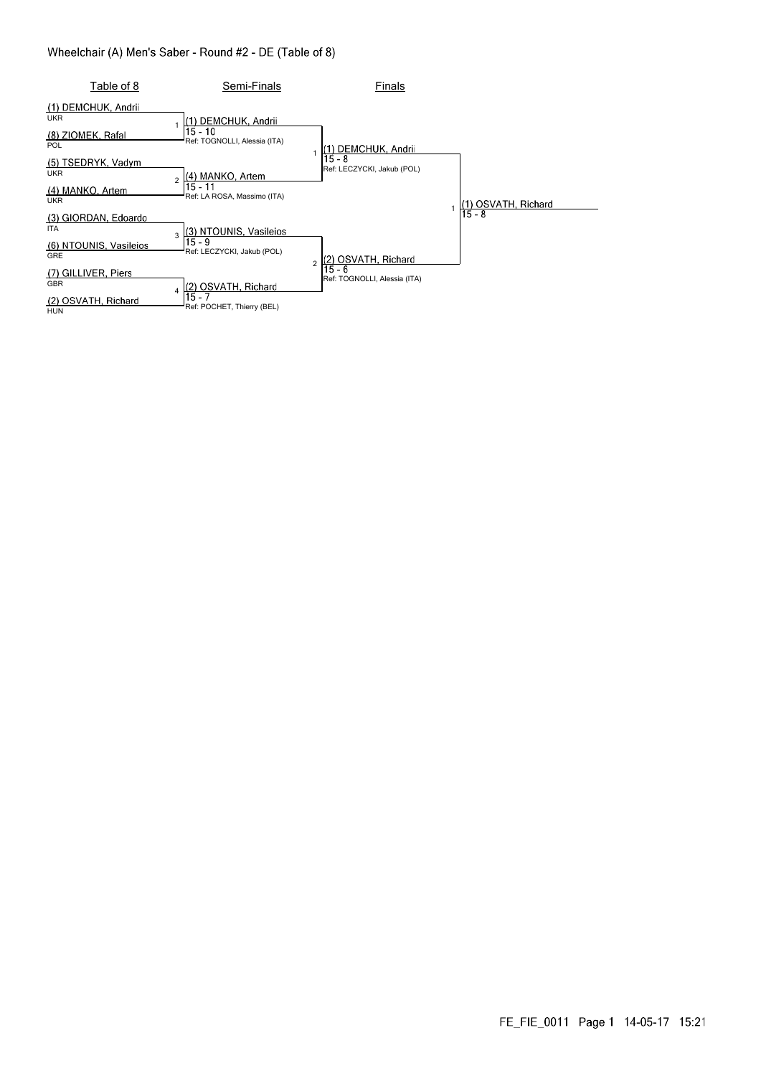#### Wheelchair (A) Men's Saber - Round #2 - DE (Table of 8)

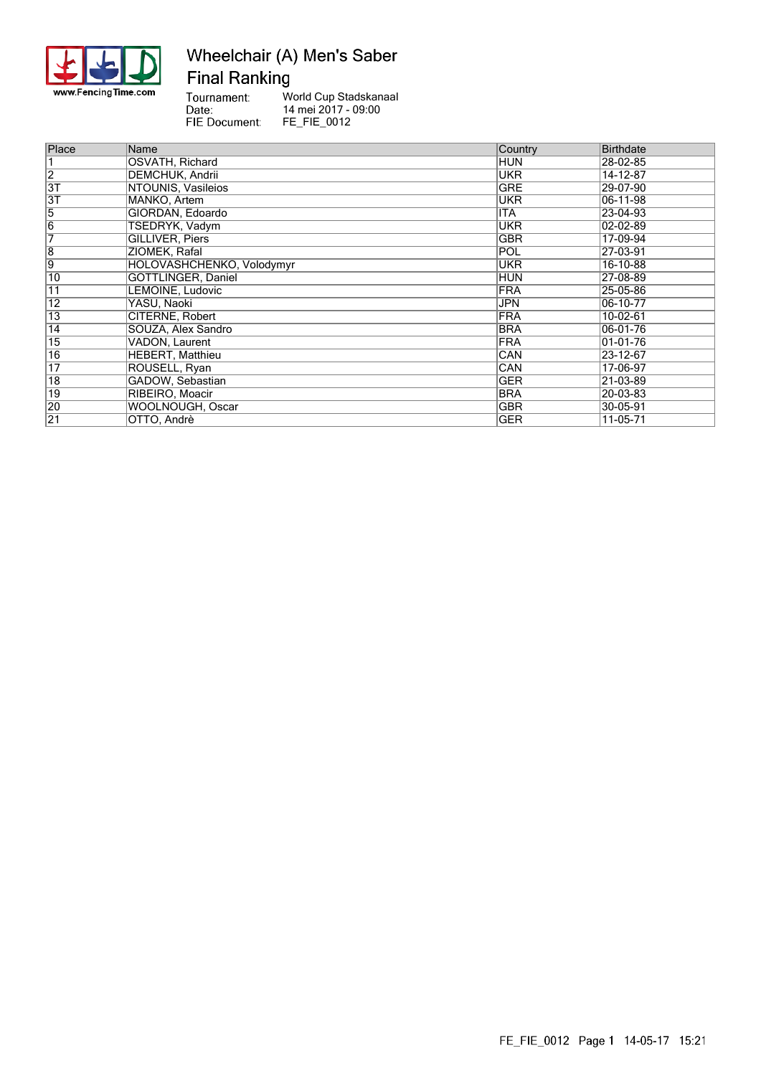

### Wheelchair (A) Men's Saber **Final Ranking**

Tournament: World Cup Stadskanaal Date:<br>Date:<br>FIE Document: 14 mei 2017 - 09:00 FE\_FIE\_0012

| Place           | Name                      | Country    | <b>Birthdate</b> |
|-----------------|---------------------------|------------|------------------|
|                 | OSVATH, Richard           | <b>HUN</b> | 28-02-85         |
| $\overline{2}$  | <b>DEMCHUK, Andrii</b>    | UKR        | 14-12-87         |
| $\overline{3T}$ | NTOUNIS, Vasileios        | GRE        | 29-07-90         |
| $\overline{3T}$ | MANKO, Artem              | UKR        | 06-11-98         |
| $\overline{5}$  | GIORDAN, Edoardo          | ITA        | 23-04-93         |
| $\overline{6}$  | <b>TSEDRYK, Vadym</b>     | UKR        | 02-02-89         |
| 7               | GILLIVER, Piers           | GBR        | 17-09-94         |
| $\overline{8}$  | ZIOMEK, Rafal             | POL        | 27-03-91         |
| $\overline{9}$  | HOLOVASHCHENKO, Volodymyr | UKR        | 16-10-88         |
| 10              | GÖTTLINGER, Daniel        | <b>HUN</b> | 27-08-89         |
| 11              | LEMOINE, Ludovic          | <b>FRA</b> | 25-05-86         |
| 12              | YASU, Naoki               | JPN        | 06-10-77         |
| 13              | CITERNE, Robert           | <b>FRA</b> | 10-02-61         |
| $\overline{14}$ | SOUZA, Alex Sandro        | <b>BRA</b> | 06-01-76         |
| $\overline{15}$ | VADON, Laurent            | <b>FRA</b> | 01-01-76         |
| $\overline{16}$ | <b>HEBERT, Matthieu</b>   | CAN        | 23-12-67         |
| $\overline{17}$ | ROUSELL, Ryan             | CAN        | 17-06-97         |
| $\overline{18}$ | GADOW, Sebastian          | GER        | 21-03-89         |
| 19              | RIBEIRO, Moacir           | <b>BRA</b> | 20-03-83         |
| 20              | <b>WOOLNOUGH, Oscar</b>   | GBR        | 30-05-91         |
| $\overline{21}$ | OTTO, Andrè               | GER        | 11-05-71         |